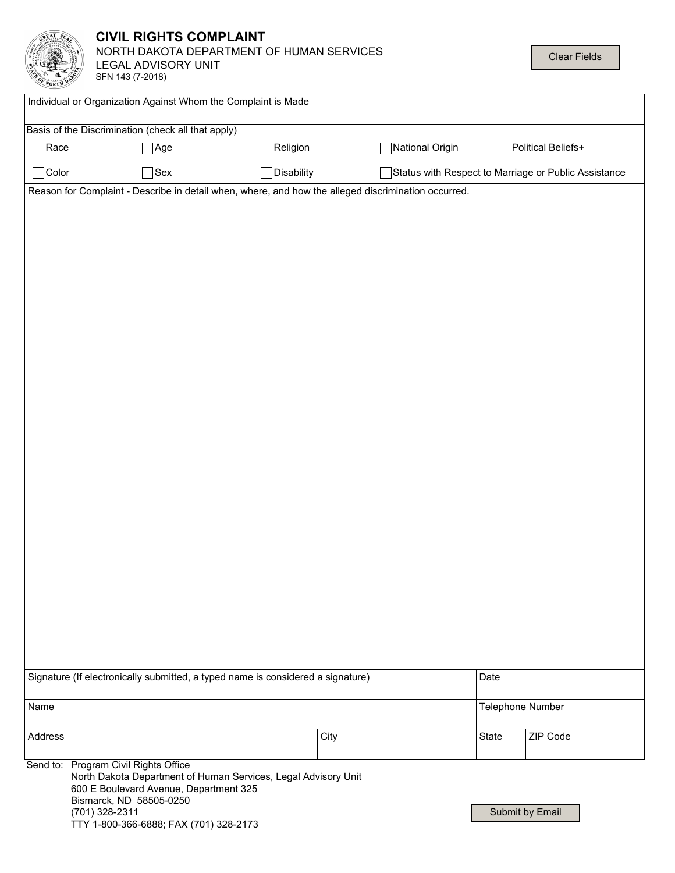|                                                                                                     | <b>CIVIL RIGHTS COMPLAINT</b><br>NORTH DAKOTA DEPARTMENT OF HUMAN SERVICES<br><b>Clear Fields</b><br>LEGAL ADVISORY UNIT<br>SFN 143 (7-2018)                                                                                            |            |  |                 |                  |                                                      |  |
|-----------------------------------------------------------------------------------------------------|-----------------------------------------------------------------------------------------------------------------------------------------------------------------------------------------------------------------------------------------|------------|--|-----------------|------------------|------------------------------------------------------|--|
| Individual or Organization Against Whom the Complaint is Made                                       |                                                                                                                                                                                                                                         |            |  |                 |                  |                                                      |  |
|                                                                                                     | Basis of the Discrimination (check all that apply)                                                                                                                                                                                      |            |  |                 |                  |                                                      |  |
| Race                                                                                                | $\sqrt{\phantom{a}}$ Age                                                                                                                                                                                                                | Religion   |  | National Origin |                  | Political Beliefs+                                   |  |
| Color                                                                                               | $\left \text{Sex}\right $                                                                                                                                                                                                               | Disability |  |                 |                  | Status with Respect to Marriage or Public Assistance |  |
| Reason for Complaint - Describe in detail when, where, and how the alleged discrimination occurred. |                                                                                                                                                                                                                                         |            |  |                 |                  |                                                      |  |
|                                                                                                     |                                                                                                                                                                                                                                         |            |  |                 |                  |                                                      |  |
| Signature (If electronically submitted, a typed name is considered a signature)                     |                                                                                                                                                                                                                                         |            |  |                 | Date             |                                                      |  |
| Name                                                                                                |                                                                                                                                                                                                                                         |            |  |                 | Telephone Number |                                                      |  |
| Address                                                                                             |                                                                                                                                                                                                                                         | City       |  |                 | State            | ZIP Code                                             |  |
|                                                                                                     | Send to: Program Civil Rights Office<br>North Dakota Department of Human Services, Legal Advisory Unit<br>600 E Boulevard Avenue, Department 325<br>Bismarck, ND 58505-0250<br>(701) 328-2311<br>TTY 1-800-366-6888; FAX (701) 328-2173 |            |  |                 |                  | Submit by Email                                      |  |